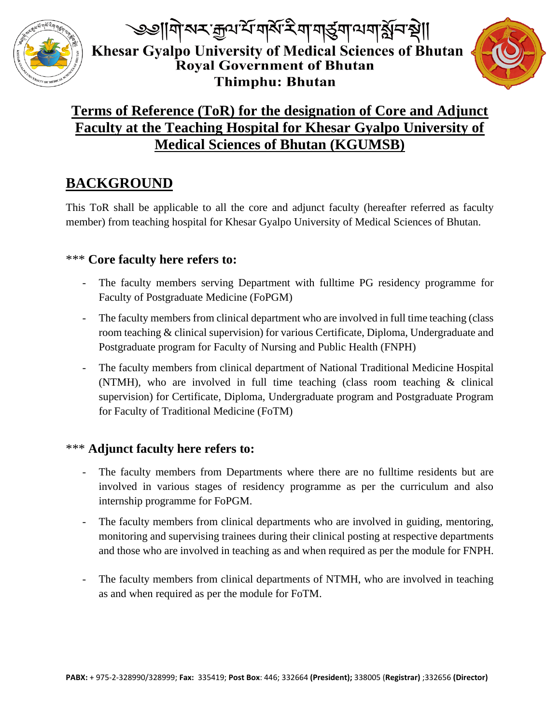

্ঞানিঅম্কুঅর্শিনার্ষমিণ নার্ত্রনাঅনার্মুনস্থা| Khesar Gyalpo University of Medical Sciences of Bhutan **Royal Government of Bhutan Thimphu: Bhutan** 



### **Terms of Reference (ToR) for the designation of Core and Adjunct Faculty at the Teaching Hospital for Khesar Gyalpo University of Medical Sciences of Bhutan (KGUMSB)**

### **BACKGROUND**

This ToR shall be applicable to all the core and adjunct faculty (hereafter referred as faculty member) from teaching hospital for Khesar Gyalpo University of Medical Sciences of Bhutan.

#### \*\*\* **Core faculty here refers to:**

- The faculty members serving Department with fulltime PG residency programme for Faculty of Postgraduate Medicine (FoPGM)
- The faculty members from clinical department who are involved in full time teaching (class room teaching & clinical supervision) for various Certificate, Diploma, Undergraduate and Postgraduate program for Faculty of Nursing and Public Health (FNPH)
- The faculty members from clinical department of National Traditional Medicine Hospital (NTMH), who are involved in full time teaching (class room teaching & clinical supervision) for Certificate, Diploma, Undergraduate program and Postgraduate Program for Faculty of Traditional Medicine (FoTM)

#### \*\*\* **Adjunct faculty here refers to:**

- The faculty members from Departments where there are no fulltime residents but are involved in various stages of residency programme as per the curriculum and also internship programme for FoPGM.
- The faculty members from clinical departments who are involved in guiding, mentoring, monitoring and supervising trainees during their clinical posting at respective departments and those who are involved in teaching as and when required as per the module for FNPH.
- The faculty members from clinical departments of NTMH, who are involved in teaching as and when required as per the module for FoTM.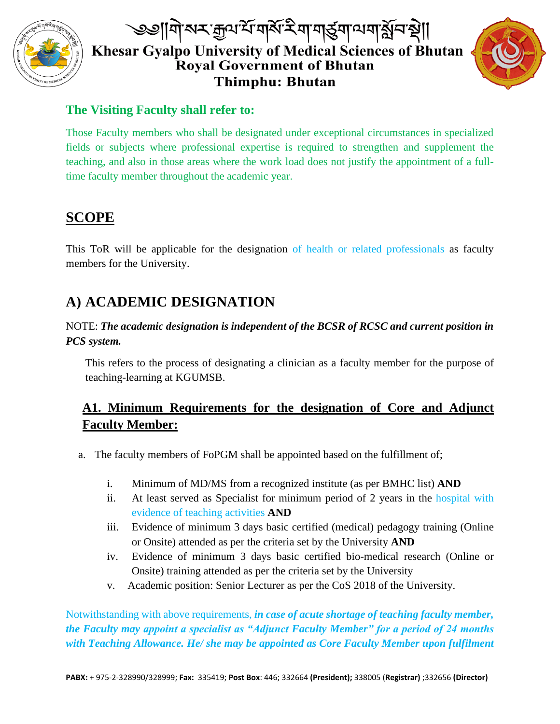

# ্ঞানিঅম্কুঅর্শবর্ষই নানার্ত্ত্বনাত্মন্থা। Khesar Gyalpo University of Medical Sciences of Bhutan **Royal Government of Bhutan Thimphu: Bhutan**



### **The Visiting Faculty shall refer to:**

Those Faculty members who shall be designated under exceptional circumstances in specialized fields or subjects where professional expertise is required to strengthen and supplement the teaching, and also in those areas where the work load does not justify the appointment of a fulltime faculty member throughout the academic year.

## **SCOPE**

This ToR will be applicable for the designation of health or related professionals as faculty members for the University.

# **A) ACADEMIC DESIGNATION**

#### NOTE: *The academic designation is independent of the BCSR of RCSC and current position in PCS system.*

This refers to the process of designating a clinician as a faculty member for the purpose of teaching-learning at KGUMSB.

### **A1. Minimum Requirements for the designation of Core and Adjunct Faculty Member:**

- a. The faculty members of FoPGM shall be appointed based on the fulfillment of;
	- i. Minimum of MD/MS from a recognized institute (as per BMHC list) **AND**
	- ii. At least served as Specialist for minimum period of 2 years in the hospital with evidence of teaching activities **AND**
	- iii. Evidence of minimum 3 days basic certified (medical) pedagogy training (Online or Onsite) attended as per the criteria set by the University **AND**
	- iv. Evidence of minimum 3 days basic certified bio-medical research (Online or Onsite) training attended as per the criteria set by the University
	- v. Academic position: Senior Lecturer as per the CoS 2018 of the University.

Notwithstanding with above requirements, *in case of acute shortage of teaching faculty member, the Faculty may appoint a specialist as "Adjunct Faculty Member" for a period of 24 months with Teaching Allowance. He/ she may be appointed as Core Faculty Member upon fulfilment*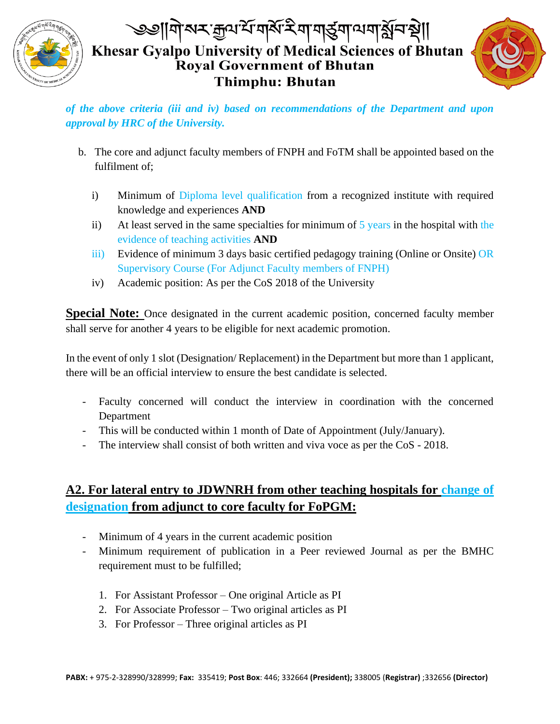

# ্ঞানিঅম্কুঅর্শবর্ষই নানার্ত্ত্বনাত্মন্থা। Khesar Gyalpo University of Medical Sciences of Bhutan Royal Government of Bhutan **Thimphu: Bhutan**



*of the above criteria (iii and iv) based on recommendations of the Department and upon approval by HRC of the University.*

- b. The core and adjunct faculty members of FNPH and FoTM shall be appointed based on the fulfilment of;
	- i) Minimum of Diploma level qualification from a recognized institute with required knowledge and experiences **AND**
	- ii) At least served in the same specialties for minimum of  $5$  years in the hospital with the evidence of teaching activities **AND**
	- iii) Evidence of minimum 3 days basic certified pedagogy training (Online or Onsite) OR Supervisory Course (For Adjunct Faculty members of FNPH)
	- iv) Academic position: As per the CoS 2018 of the University

**Special Note:** Once designated in the current academic position, concerned faculty member shall serve for another 4 years to be eligible for next academic promotion.

In the event of only 1 slot (Designation/ Replacement) in the Department but more than 1 applicant, there will be an official interview to ensure the best candidate is selected.

- Faculty concerned will conduct the interview in coordination with the concerned Department
- This will be conducted within 1 month of Date of Appointment (July/January).
- The interview shall consist of both written and viva voce as per the CoS 2018.

### **A2. For lateral entry to JDWNRH from other teaching hospitals for change of designation from adjunct to core faculty for FoPGM:**

- Minimum of 4 years in the current academic position
- Minimum requirement of publication in a Peer reviewed Journal as per the BMHC requirement must to be fulfilled;
	- 1. For Assistant Professor One original Article as PI
	- 2. For Associate Professor Two original articles as PI
	- 3. For Professor Three original articles as PI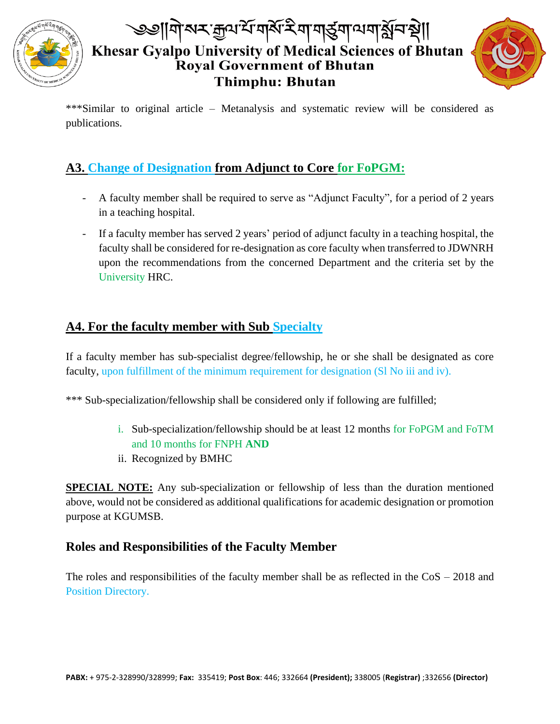

## ৩৩||गे|నম ক্ৰুণশৈ নৰ্মৰ মাৰাৰ্ত্ত্ৰশান্য মুনিষ্ণী| Khesar Gyalpo University of Medical Sciences of Bhutan Royal Government of Bhutan **Thimphu: Bhutan**



\*\*\*Similar to original article – Metanalysis and systematic review will be considered as publications.

### **A3. Change of Designation from Adjunct to Core for FoPGM:**

- A faculty member shall be required to serve as "Adjunct Faculty", for a period of 2 years in a teaching hospital.
- If a faculty member has served 2 years' period of adjunct faculty in a teaching hospital, the faculty shall be considered for re-designation as core faculty when transferred to JDWNRH upon the recommendations from the concerned Department and the criteria set by the University HRC.

### **A4. For the faculty member with Sub Specialty**

If a faculty member has sub-specialist degree/fellowship, he or she shall be designated as core faculty, upon fulfillment of the minimum requirement for designation (Sl No iii and iv).

\*\*\* Sub-specialization/fellowship shall be considered only if following are fulfilled;

- i. Sub-specialization/fellowship should be at least 12 months for FoPGM and FoTM and 10 months for FNPH **AND**
- ii. Recognized by BMHC

**SPECIAL NOTE:** Any sub-specialization or fellowship of less than the duration mentioned above, would not be considered as additional qualifications for academic designation or promotion purpose at KGUMSB.

#### **Roles and Responsibilities of the Faculty Member**

The roles and responsibilities of the faculty member shall be as reflected in the CoS – 2018 and Position Directory.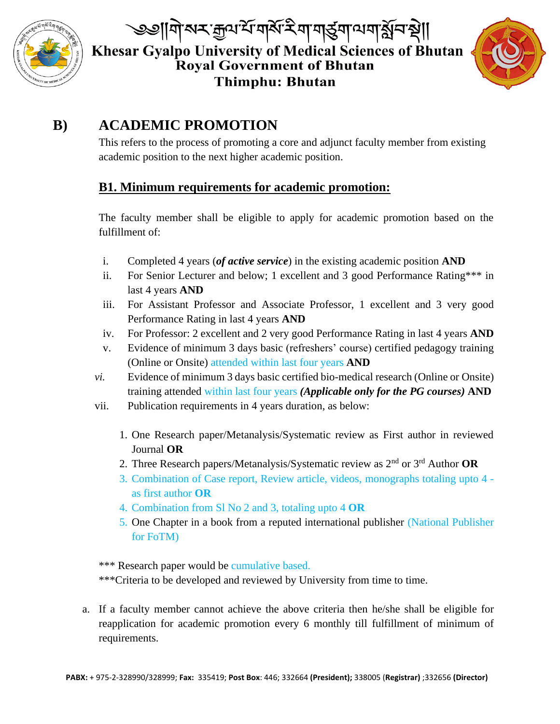

্ঞানিঅম্কুঅর্শিনার্ষমিণ নার্ত্রনাত্মনার্ষ্ণনারী Khesar Gyalpo University of Medical Sciences of Bhutan Royal Government of Bhutan **Thimphu: Bhutan** 



### **B) ACADEMIC PROMOTION**

This refers to the process of promoting a core and adjunct faculty member from existing academic position to the next higher academic position.

#### **B1. Minimum requirements for academic promotion:**

The faculty member shall be eligible to apply for academic promotion based on the fulfillment of:

- i. Completed 4 years (*of active service*) in the existing academic position **AND**
- ii. For Senior Lecturer and below; 1 excellent and 3 good Performance Rating\*\*\* in last 4 years **AND**
- iii. For Assistant Professor and Associate Professor, 1 excellent and 3 very good Performance Rating in last 4 years **AND**
- iv. For Professor: 2 excellent and 2 very good Performance Rating in last 4 years **AND**
- v. Evidence of minimum 3 days basic (refreshers' course) certified pedagogy training (Online or Onsite) attended within last four years **AND**
- *vi.* Evidence of minimum 3 days basic certified bio-medical research (Online or Onsite) training attended within last four years *(Applicable only for the PG courses)* **AND**
- vii. Publication requirements in 4 years duration, as below:
	- 1. One Research paper/Metanalysis/Systematic review as First author in reviewed Journal **OR**
	- 2. Three Research papers/Metanalysis/Systematic review as 2nd or 3rd Author **OR**
	- 3. Combination of Case report, Review article, videos, monographs totaling upto 4 as first author **OR**
	- 4. Combination from Sl No 2 and 3, totaling upto 4 **OR**
	- 5. One Chapter in a book from a reputed international publisher (National Publisher for FoTM)

\*\*\* Research paper would be cumulative based.

\*\*\*Criteria to be developed and reviewed by University from time to time.

a. If a faculty member cannot achieve the above criteria then he/she shall be eligible for reapplication for academic promotion every 6 monthly till fulfillment of minimum of requirements.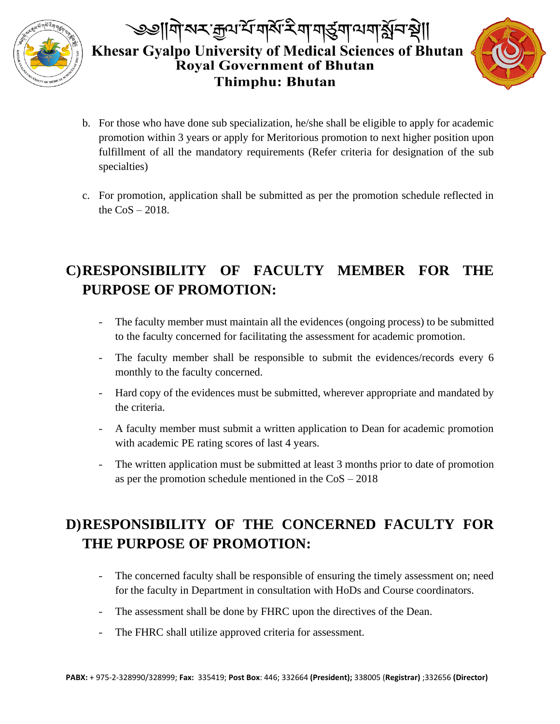

# |নাঝম:ক্ৰুণশ্ম নাৰ্মস্ম নামুৰ্ত্ত্ৰনামনাষ্ট্ৰমস্থা| Khesar Gyalpo University of Medical Sciences of Bhutan Royal Government of Bhutan **Thimphu: Bhutan**



- b. For those who have done sub specialization, he/she shall be eligible to apply for academic promotion within 3 years or apply for Meritorious promotion to next higher position upon fulfillment of all the mandatory requirements (Refer criteria for designation of the sub specialties)
- c. For promotion, application shall be submitted as per the promotion schedule reflected in the  $CoS - 2018$ .

# **C)RESPONSIBILITY OF FACULTY MEMBER FOR THE PURPOSE OF PROMOTION:**

- The faculty member must maintain all the evidences (ongoing process) to be submitted to the faculty concerned for facilitating the assessment for academic promotion.
- The faculty member shall be responsible to submit the evidences/records every 6 monthly to the faculty concerned.
- Hard copy of the evidences must be submitted, wherever appropriate and mandated by the criteria.
- A faculty member must submit a written application to Dean for academic promotion with academic PE rating scores of last 4 years.
- The written application must be submitted at least 3 months prior to date of promotion as per the promotion schedule mentioned in the CoS – 2018

# **D)RESPONSIBILITY OF THE CONCERNED FACULTY FOR THE PURPOSE OF PROMOTION:**

- The concerned faculty shall be responsible of ensuring the timely assessment on; need for the faculty in Department in consultation with HoDs and Course coordinators.
- The assessment shall be done by FHRC upon the directives of the Dean.
- The FHRC shall utilize approved criteria for assessment.